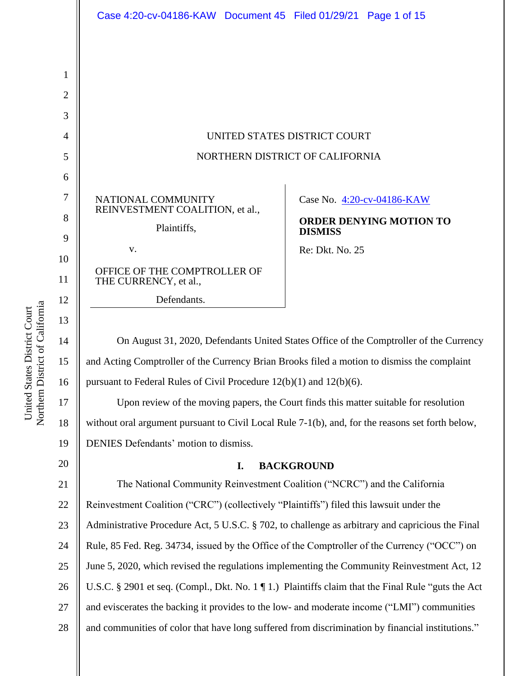|                | Case 4:20-cv-04186-KAW Document 45 Filed 01/29/21 Page 1 of 15                                        |                                |
|----------------|-------------------------------------------------------------------------------------------------------|--------------------------------|
|                |                                                                                                       |                                |
| 1              |                                                                                                       |                                |
| $\overline{2}$ |                                                                                                       |                                |
| 3              |                                                                                                       |                                |
| 4              | UNITED STATES DISTRICT COURT                                                                          |                                |
| 5              | NORTHERN DISTRICT OF CALIFORNIA                                                                       |                                |
| 6              |                                                                                                       |                                |
| 7              | NATIONAL COMMUNITY                                                                                    | Case No. 4:20-cv-04186-KAW     |
| 8              | REINVESTMENT COALITION, et al.,                                                                       | <b>ORDER DENYING MOTION TO</b> |
| 9              | Plaintiffs,                                                                                           | <b>DISMISS</b>                 |
| 10             | V.                                                                                                    | Re: Dkt. No. 25                |
| 11             | OFFICE OF THE COMPTROLLER OF<br>THE CURRENCY, et al.,                                                 |                                |
| 12             | Defendants.                                                                                           |                                |
| 13             |                                                                                                       |                                |
| 14             | On August 31, 2020, Defendants United States Office of the Comptroller of the Currency                |                                |
| 15             | and Acting Comptroller of the Currency Brian Brooks filed a motion to dismiss the complaint           |                                |
| 16             | pursuant to Federal Rules of Civil Procedure $12(b)(1)$ and $12(b)(6)$ .                              |                                |
| 17             | Upon review of the moving papers, the Court finds this matter suitable for resolution                 |                                |
| 18             | without oral argument pursuant to Civil Local Rule 7-1(b), and, for the reasons set forth below,      |                                |
| 19             | DENIES Defendants' motion to dismiss.                                                                 |                                |
| 20             | I.<br><b>BACKGROUND</b>                                                                               |                                |
| 21             | The National Community Reinvestment Coalition ("NCRC") and the California                             |                                |
| 22             | Reinvestment Coalition ("CRC") (collectively "Plaintiffs") filed this lawsuit under the               |                                |
| 23             | Administrative Procedure Act, 5 U.S.C. § 702, to challenge as arbitrary and capricious the Final      |                                |
| 24             | Rule, 85 Fed. Reg. 34734, issued by the Office of the Comptroller of the Currency ("OCC") on          |                                |
| 25             | June 5, 2020, which revised the regulations implementing the Community Reinvestment Act, 12           |                                |
| 26             | U.S.C. § 2901 et seq. (Compl., Dkt. No. 1 $\P$ 1.) Plaintiffs claim that the Final Rule "guts the Act |                                |
| 27             | and eviscerates the backing it provides to the low- and moderate income ("LMI") communities           |                                |
| 28             | and communities of color that have long suffered from discrimination by financial institutions."      |                                |
|                |                                                                                                       |                                |

United States District Court<br>Northern District of California Northern District of California United States District Court

 $\parallel$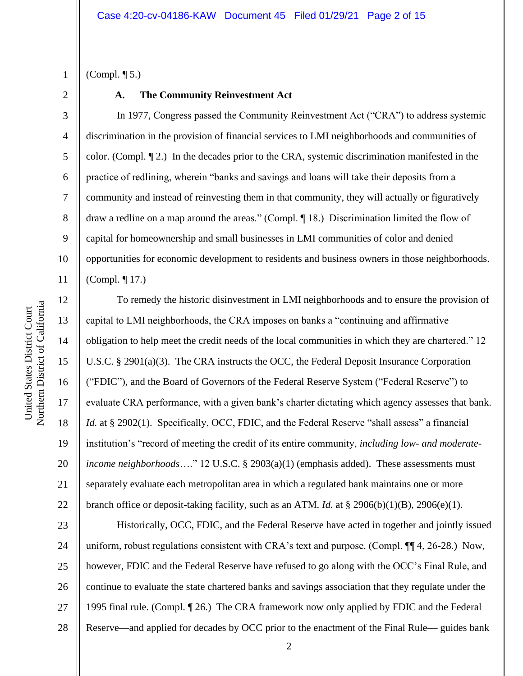(Compl. ¶ 5.)

1

2

3

4

5

6

7

8

9

10

11

## **A. The Community Reinvestment Act**

In 1977, Congress passed the Community Reinvestment Act ("CRA") to address systemic discrimination in the provision of financial services to LMI neighborhoods and communities of color. (Compl. ¶ 2.) In the decades prior to the CRA, systemic discrimination manifested in the practice of redlining, wherein "banks and savings and loans will take their deposits from a community and instead of reinvesting them in that community, they will actually or figuratively draw a redline on a map around the areas." (Compl. ¶ 18.) Discrimination limited the flow of capital for homeownership and small businesses in LMI communities of color and denied opportunities for economic development to residents and business owners in those neighborhoods. (Compl. ¶ 17.)

12 13 14 15 16 17 18 19 20 21 22 To remedy the historic disinvestment in LMI neighborhoods and to ensure the provision of capital to LMI neighborhoods, the CRA imposes on banks a "continuing and affirmative obligation to help meet the credit needs of the local communities in which they are chartered." 12 U.S.C. § 2901(a)(3). The CRA instructs the OCC, the Federal Deposit Insurance Corporation ("FDIC"), and the Board of Governors of the Federal Reserve System ("Federal Reserve") to evaluate CRA performance, with a given bank's charter dictating which agency assesses that bank. *Id.* at § 2902(1). Specifically, OCC, FDIC, and the Federal Reserve "shall assess" a financial institution's "record of meeting the credit of its entire community, *including low- and moderateincome neighborhoods*…." 12 U.S.C. § 2903(a)(1) (emphasis added). These assessments must separately evaluate each metropolitan area in which a regulated bank maintains one or more branch office or deposit-taking facility, such as an ATM. *Id.* at § 2906(b)(1)(B), 2906(e)(1).

23 24 25 26 27 28 Historically, OCC, FDIC, and the Federal Reserve have acted in together and jointly issued uniform, robust regulations consistent with CRA's text and purpose. (Compl. ¶¶ 4, 26-28.) Now, however, FDIC and the Federal Reserve have refused to go along with the OCC's Final Rule, and continue to evaluate the state chartered banks and savings association that they regulate under the 1995 final rule. (Compl. ¶ 26.) The CRA framework now only applied by FDIC and the Federal Reserve—and applied for decades by OCC prior to the enactment of the Final Rule— guides bank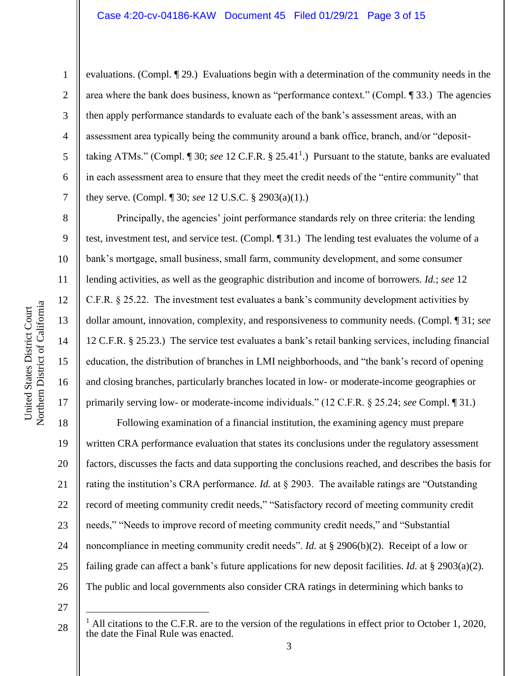## Case 4:20-cv-04186-KAW Document 45 Filed 01/29/21 Page 3 of 15

1

2

3

4

5

6

7

8

9

10

11

12

13

14

15

16

17

evaluations. (Compl. ¶ 29.) Evaluations begin with a determination of the community needs in the area where the bank does business, known as "performance context." (Compl. ¶ 33.) The agencies then apply performance standards to evaluate each of the bank's assessment areas, with an assessment area typically being the community around a bank office, branch, and/or "deposittaking ATMs." (Compl. 1 30; *see* 12 C.F.R. § 25.41<sup>1</sup>.) Pursuant to the statute, banks are evaluated in each assessment area to ensure that they meet the credit needs of the "entire community" that they serve. (Compl. ¶ 30; *see* 12 U.S.C. § 2903(a)(1).)

Principally, the agencies' joint performance standards rely on three criteria: the lending test, investment test, and service test. (Compl. ¶ 31.) The lending test evaluates the volume of a bank's mortgage, small business, small farm, community development, and some consumer lending activities, as well as the geographic distribution and income of borrowers. *Id.*; *see* 12 C.F.R. § 25.22. The investment test evaluates a bank's community development activities by dollar amount, innovation, complexity, and responsiveness to community needs. (Compl. ¶ 31; *see*  12 C.F.R. § 25.23.) The service test evaluates a bank's retail banking services, including financial education, the distribution of branches in LMI neighborhoods, and "the bank's record of opening and closing branches, particularly branches located in low- or moderate-income geographies or primarily serving low- or moderate-income individuals." (12 C.F.R. § 25.24; *see* Compl. ¶ 31.)

18 19 20 21 22 23 24 25 26 Following examination of a financial institution, the examining agency must prepare written CRA performance evaluation that states its conclusions under the regulatory assessment factors, discusses the facts and data supporting the conclusions reached, and describes the basis for rating the institution's CRA performance. *Id.* at § 2903. The available ratings are "Outstanding record of meeting community credit needs," "Satisfactory record of meeting community credit needs," "Needs to improve record of meeting community credit needs," and "Substantial noncompliance in meeting community credit needs". *Id.* at § 2906(b)(2). Receipt of a low or failing grade can affect a bank's future applications for new deposit facilities. *Id.* at § 2903(a)(2). The public and local governments also consider CRA ratings in determining which banks to

27

All citations to the C.F.R. are to the version of the regulations in effect prior to October 1, 2020, the date the Final Rule was enacted.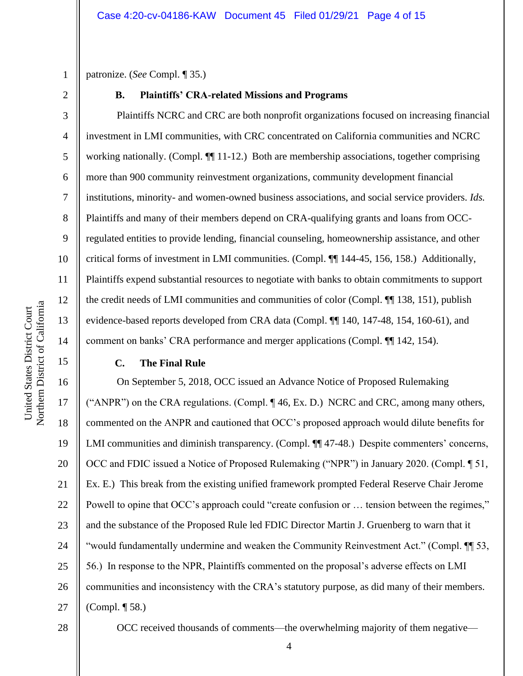patronize. (*See* Compl. ¶ 35.)

2

3

4

5

6

7

8

9

10

11

12

13

14

15

16

17

18

19

20

21

22

23

24

25

26

27

1

# **B. Plaintiffs' CRA-related Missions and Programs**

Plaintiffs NCRC and CRC are both nonprofit organizations focused on increasing financial investment in LMI communities, with CRC concentrated on California communities and NCRC working nationally. (Compl.  $\P$  11-12.) Both are membership associations, together comprising more than 900 community reinvestment organizations, community development financial institutions, minority- and women-owned business associations, and social service providers. *Ids.*  Plaintiffs and many of their members depend on CRA-qualifying grants and loans from OCCregulated entities to provide lending, financial counseling, homeownership assistance, and other critical forms of investment in LMI communities. (Compl. ¶¶ 144-45, 156, 158.) Additionally, Plaintiffs expend substantial resources to negotiate with banks to obtain commitments to support the credit needs of LMI communities and communities of color (Compl. ¶¶ 138, 151), publish evidence-based reports developed from CRA data (Compl. ¶¶ 140, 147-48, 154, 160-61), and comment on banks' CRA performance and merger applications (Compl. ¶¶ 142, 154).

# **C. The Final Rule**

On September 5, 2018, OCC issued an Advance Notice of Proposed Rulemaking ("ANPR") on the CRA regulations. (Compl. ¶ 46, Ex. D.) NCRC and CRC, among many others, commented on the ANPR and cautioned that OCC's proposed approach would dilute benefits for LMI communities and diminish transparency. (Compl. ¶ 47-48.) Despite commenters' concerns, OCC and FDIC issued a Notice of Proposed Rulemaking ("NPR") in January 2020. (Compl. ¶ 51, Ex. E.) This break from the existing unified framework prompted Federal Reserve Chair Jerome Powell to opine that OCC's approach could "create confusion or ... tension between the regimes," and the substance of the Proposed Rule led FDIC Director Martin J. Gruenberg to warn that it "would fundamentally undermine and weaken the Community Reinvestment Act." (Compl. ¶¶ 53, 56.) In response to the NPR, Plaintiffs commented on the proposal's adverse effects on LMI communities and inconsistency with the CRA's statutory purpose, as did many of their members. (Compl. ¶ 58.)

28

OCC received thousands of comments—the overwhelming majority of them negative—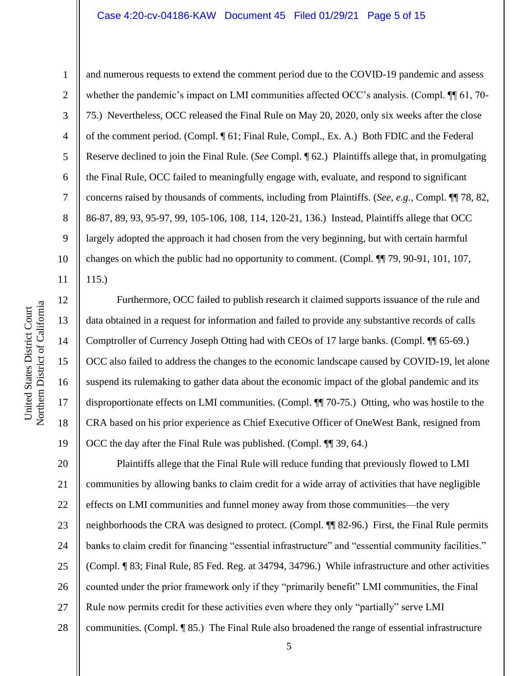## Case 4:20-cv-04186-KAW Document 45 Filed 01/29/21 Page 5 of 15

1

2

3

4

5

6

7

8

9

10

11

12

13

14

15

16

17

18

19

and numerous requests to extend the comment period due to the COVID-19 pandemic and assess whether the pandemic's impact on LMI communities affected OCC's analysis. (Compl.  $\P\P$  61, 70-75.) Nevertheless, OCC released the Final Rule on May 20, 2020, only six weeks after the close of the comment period. (Compl. ¶ 61; Final Rule, Compl., Ex. A.) Both FDIC and the Federal Reserve declined to join the Final Rule. (*See* Compl. ¶ 62.) Plaintiffs allege that, in promulgating the Final Rule, OCC failed to meaningfully engage with, evaluate, and respond to significant concerns raised by thousands of comments, including from Plaintiffs. (*See, e.g.*, Compl. ¶¶ 78, 82, 86-87, 89, 93, 95-97, 99, 105-106, 108, 114, 120-21, 136.) Instead, Plaintiffs allege that OCC largely adopted the approach it had chosen from the very beginning, but with certain harmful changes on which the public had no opportunity to comment. (Compl*.* ¶¶ 79, 90-91, 101, 107, 115.)

Furthermore, OCC failed to publish research it claimed supports issuance of the rule and data obtained in a request for information and failed to provide any substantive records of calls Comptroller of Currency Joseph Otting had with CEOs of 17 large banks. (Compl. ¶¶ 65-69.) OCC also failed to address the changes to the economic landscape caused by COVID-19, let alone suspend its rulemaking to gather data about the economic impact of the global pandemic and its disproportionate effects on LMI communities. (Compl. ¶¶ 70-75.) Otting, who was hostile to the CRA based on his prior experience as Chief Executive Officer of OneWest Bank, resigned from OCC the day after the Final Rule was published. (Compl. ¶¶ 39, 64.)

20 21 22 23 24 25 26 27 28 Plaintiffs allege that the Final Rule will reduce funding that previously flowed to LMI communities by allowing banks to claim credit for a wide array of activities that have negligible effects on LMI communities and funnel money away from those communities—the very neighborhoods the CRA was designed to protect. (Compl. ¶¶ 82-96.) First, the Final Rule permits banks to claim credit for financing "essential infrastructure" and "essential community facilities." (Compl. ¶ 83; Final Rule, 85 Fed. Reg. at 34794, 34796.) While infrastructure and other activities counted under the prior framework only if they "primarily benefit" LMI communities, the Final Rule now permits credit for these activities even where they only "partially" serve LMI communities. (Compl. ¶ 85.) The Final Rule also broadened the range of essential infrastructure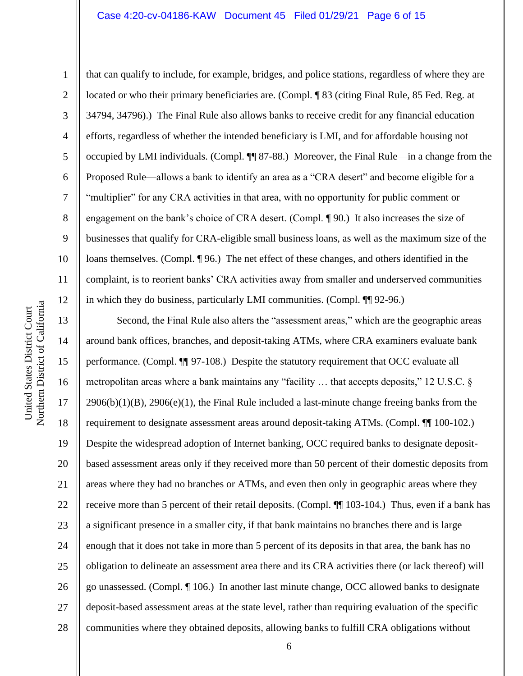## Case 4:20-cv-04186-KAW Document 45 Filed 01/29/21 Page 6 of 15

that can qualify to include, for example, bridges, and police stations, regardless of where they are located or who their primary beneficiaries are. (Compl. ¶ 83 (citing Final Rule, 85 Fed. Reg. at 34794, 34796).) The Final Rule also allows banks to receive credit for any financial education efforts, regardless of whether the intended beneficiary is LMI, and for affordable housing not occupied by LMI individuals. (Compl. ¶¶ 87-88.) Moreover, the Final Rule—in a change from the Proposed Rule—allows a bank to identify an area as a "CRA desert" and become eligible for a "multiplier" for any CRA activities in that area, with no opportunity for public comment or engagement on the bank's choice of CRA desert. (Compl. ¶ 90.) It also increases the size of businesses that qualify for CRA-eligible small business loans, as well as the maximum size of the loans themselves. (Compl. ¶ 96.) The net effect of these changes, and others identified in the complaint, is to reorient banks' CRA activities away from smaller and underserved communities in which they do business, particularly LMI communities. (Compl. ¶¶ 92-96.)

13 14 15 16 17 18 19 20 21 22 23 24 25 26 27 28 Second, the Final Rule also alters the "assessment areas," which are the geographic areas around bank offices, branches, and deposit-taking ATMs, where CRA examiners evaluate bank performance. (Compl. ¶¶ 97-108.) Despite the statutory requirement that OCC evaluate all metropolitan areas where a bank maintains any "facility … that accepts deposits," 12 U.S.C. §  $2906(b)(1)(B)$ ,  $2906(e)(1)$ , the Final Rule included a last-minute change freeing banks from the requirement to designate assessment areas around deposit-taking ATMs. (Compl. ¶¶ 100-102.) Despite the widespread adoption of Internet banking, OCC required banks to designate depositbased assessment areas only if they received more than 50 percent of their domestic deposits from areas where they had no branches or ATMs, and even then only in geographic areas where they receive more than 5 percent of their retail deposits. (Compl. ¶¶ 103-104.) Thus, even if a bank has a significant presence in a smaller city, if that bank maintains no branches there and is large enough that it does not take in more than 5 percent of its deposits in that area, the bank has no obligation to delineate an assessment area there and its CRA activities there (or lack thereof) will go unassessed. (Compl. ¶ 106.) In another last minute change, OCC allowed banks to designate deposit-based assessment areas at the state level, rather than requiring evaluation of the specific communities where they obtained deposits, allowing banks to fulfill CRA obligations without

1

2

3

4

5

6

7

8

9

10

11

12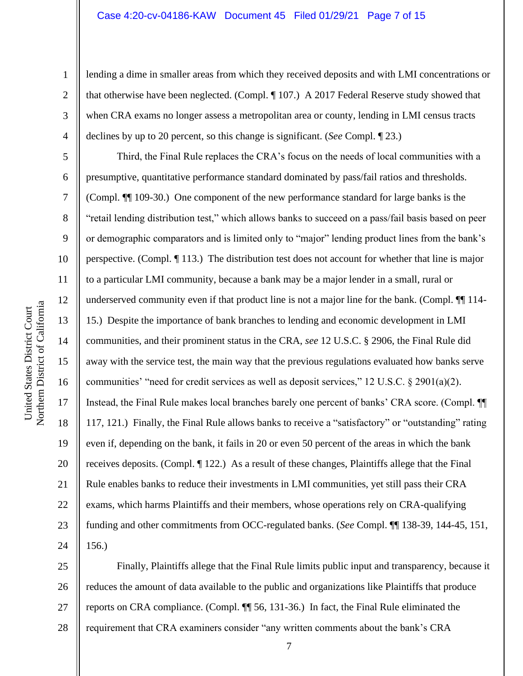### Case 4:20-cv-04186-KAW Document 45 Filed 01/29/21 Page 7 of 15

lending a dime in smaller areas from which they received deposits and with LMI concentrations or that otherwise have been neglected. (Compl. ¶ 107.) A 2017 Federal Reserve study showed that when CRA exams no longer assess a metropolitan area or county, lending in LMI census tracts declines by up to 20 percent, so this change is significant. (*See* Compl. ¶ 23.)

Third, the Final Rule replaces the CRA's focus on the needs of local communities with a presumptive, quantitative performance standard dominated by pass/fail ratios and thresholds. (Compl. ¶¶ 109-30.) One component of the new performance standard for large banks is the "retail lending distribution test," which allows banks to succeed on a pass/fail basis based on peer or demographic comparators and is limited only to "major" lending product lines from the bank's perspective. (Compl. ¶ 113.) The distribution test does not account for whether that line is major to a particular LMI community, because a bank may be a major lender in a small, rural or underserved community even if that product line is not a major line for the bank. (Compl. ¶¶ 114- 15.) Despite the importance of bank branches to lending and economic development in LMI communities, and their prominent status in the CRA, *see* 12 U.S.C. § 2906, the Final Rule did away with the service test, the main way that the previous regulations evaluated how banks serve communities' "need for credit services as well as deposit services," 12 U.S.C. § 2901(a)(2). Instead, the Final Rule makes local branches barely one percent of banks' CRA score. (Compl. ¶¶ 117, 121.) Finally, the Final Rule allows banks to receive a "satisfactory" or "outstanding" rating even if, depending on the bank, it fails in 20 or even 50 percent of the areas in which the bank receives deposits. (Compl. ¶ 122.) As a result of these changes, Plaintiffs allege that the Final Rule enables banks to reduce their investments in LMI communities, yet still pass their CRA exams, which harms Plaintiffs and their members, whose operations rely on CRA-qualifying funding and other commitments from OCC-regulated banks. (*See* Compl. ¶¶ 138-39, 144-45, 151, 156.)

25 26 27 28 Finally, Plaintiffs allege that the Final Rule limits public input and transparency, because it reduces the amount of data available to the public and organizations like Plaintiffs that produce reports on CRA compliance. (Compl. ¶¶ 56, 131-36.) In fact, the Final Rule eliminated the requirement that CRA examiners consider "any written comments about the bank's CRA

1

2

3

4

5

6

7

8

9

10

11

12

13

14

15

16

17

18

19

20

21

22

23

24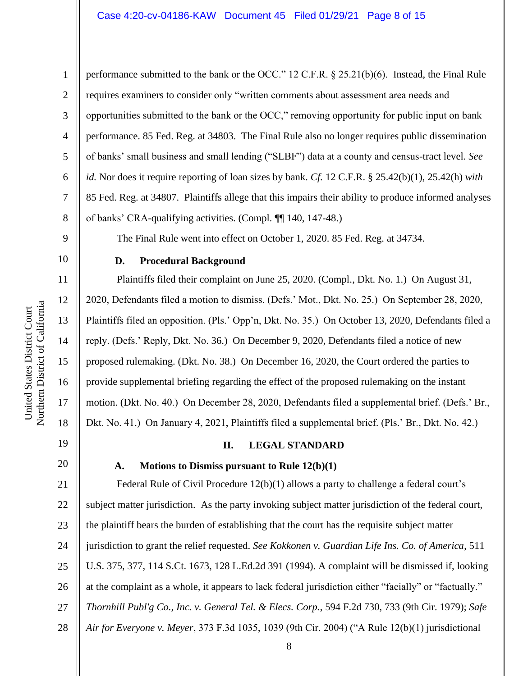performance submitted to the bank or the OCC." 12 C.F.R. § 25.21(b)(6). Instead, the Final Rule requires examiners to consider only "written comments about assessment area needs and opportunities submitted to the bank or the OCC," removing opportunity for public input on bank performance. 85 Fed. Reg. at 34803. The Final Rule also no longer requires public dissemination of banks' small business and small lending ("SLBF") data at a county and census-tract level. *See id.* Nor does it require reporting of loan sizes by bank. *Cf.* 12 C.F.R. § 25.42(b)(1), 25.42(h) *with*  85 Fed. Reg. at 34807. Plaintiffs allege that this impairs their ability to produce informed analyses of banks' CRA-qualifying activities. (Compl*.* ¶¶ 140, 147-48.)

The Final Rule went into effect on October 1, 2020. 85 Fed. Reg. at 34734*.*

# **D. Procedural Background**

Plaintiffs filed their complaint on June 25, 2020. (Compl., Dkt. No. 1.) On August 31, 2020, Defendants filed a motion to dismiss. (Defs.' Mot., Dkt. No. 25.) On September 28, 2020, Plaintiffs filed an opposition. (Pls.' Opp'n, Dkt. No. 35.) On October 13, 2020, Defendants filed a reply. (Defs.' Reply, Dkt. No. 36.) On December 9, 2020, Defendants filed a notice of new proposed rulemaking. (Dkt. No. 38.) On December 16, 2020, the Court ordered the parties to provide supplemental briefing regarding the effect of the proposed rulemaking on the instant motion. (Dkt. No. 40.) On December 28, 2020, Defendants filed a supplemental brief. (Defs.' Br., Dkt. No. 41.) On January 4, 2021, Plaintiffs filed a supplemental brief. (Pls.' Br., Dkt. No. 42.)

19

1

2

3

4

5

6

7

8

9

10

11

12

13

14

15

16

17

18

20

## **II. LEGAL STANDARD**

## **A. Motions to Dismiss pursuant to Rule 12(b)(1)**

21 22 23 24 25 26 27 28 Federal Rule of Civil Procedure 12(b)(1) allows a party to challenge a federal court's subject matter jurisdiction. As the party invoking subject matter jurisdiction of the federal court, the plaintiff bears the burden of establishing that the court has the requisite subject matter jurisdiction to grant the relief requested. *See Kokkonen v. Guardian Life Ins. Co. of America*, 511 U.S. 375, 377, 114 S.Ct. 1673, 128 L.Ed.2d 391 (1994). A complaint will be dismissed if, looking at the complaint as a whole, it appears to lack federal jurisdiction either "facially" or "factually." *Thornhill Publ'g Co., Inc. v. General Tel. & Elecs. Corp.*, 594 F.2d 730, 733 (9th Cir. 1979); *Safe Air for Everyone v. Meyer*, 373 F.3d 1035, 1039 (9th Cir. 2004) ("A Rule 12(b)(1) jurisdictional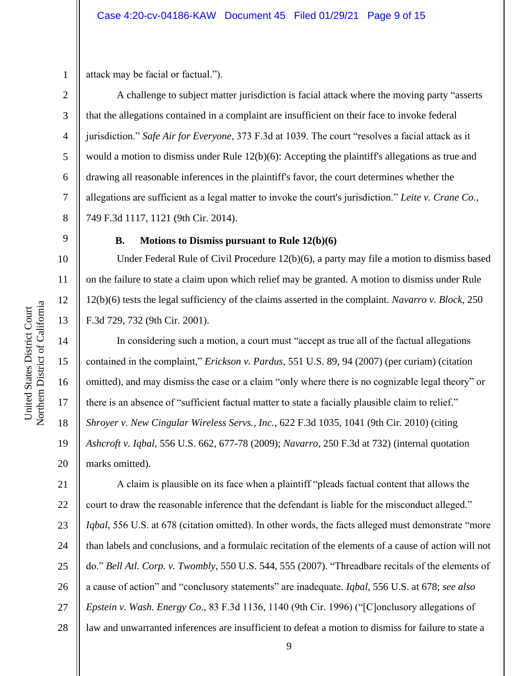1 attack may be facial or factual.").

A challenge to subject matter jurisdiction is facial attack where the moving party "asserts that the allegations contained in a complaint are insufficient on their face to invoke federal jurisdiction." *Safe Air for Everyone*, 373 F.3d at 1039. The court "resolves a facial attack as it would a motion to dismiss under Rule 12(b)(6): Accepting the plaintiff's allegations as true and drawing all reasonable inferences in the plaintiff's favor, the court determines whether the allegations are sufficient as a legal matter to invoke the court's jurisdiction." *Leite v. Crane Co.*, 749 F.3d 1117, 1121 (9th Cir. 2014).

2

3

4

5

6

7

8

9

10

11

12

13

14

15

16

17

18

19

20

# **B. Motions to Dismiss pursuant to Rule 12(b)(6)**

Under Federal Rule of Civil Procedure 12(b)(6), a party may file a motion to dismiss based on the failure to state a claim upon which relief may be granted. A motion to dismiss under Rule 12(b)(6) tests the legal sufficiency of the claims asserted in the complaint. *Navarro v. Block*, 250 F.3d 729, 732 (9th Cir. 2001).

In considering such a motion, a court must "accept as true all of the factual allegations contained in the complaint," *Erickson v. Pardus*, 551 U.S. 89, 94 (2007) (per curiam) (citation omitted), and may dismiss the case or a claim "only where there is no cognizable legal theory" or there is an absence of "sufficient factual matter to state a facially plausible claim to relief." *Shroyer v. New Cingular Wireless Servs., Inc.*, 622 F.3d 1035, 1041 (9th Cir. 2010) (citing *Ashcroft v. Iqbal*, 556 U.S. 662, 677-78 (2009); *Navarro*, 250 F.3d at 732) (internal quotation marks omitted).

21 22 23 24 25 26 27 28 A claim is plausible on its face when a plaintiff "pleads factual content that allows the court to draw the reasonable inference that the defendant is liable for the misconduct alleged." *Iqbal*, 556 U.S. at 678 (citation omitted). In other words, the facts alleged must demonstrate "more than labels and conclusions, and a formulaic recitation of the elements of a cause of action will not do." *Bell Atl. Corp. v. Twombly*, 550 U.S. 544, 555 (2007). "Threadbare recitals of the elements of a cause of action" and "conclusory statements" are inadequate. *Iqbal*, 556 U.S. at 678; *see also Epstein v. Wash. Energy Co*., 83 F.3d 1136, 1140 (9th Cir. 1996) ("[C]onclusory allegations of law and unwarranted inferences are insufficient to defeat a motion to dismiss for failure to state a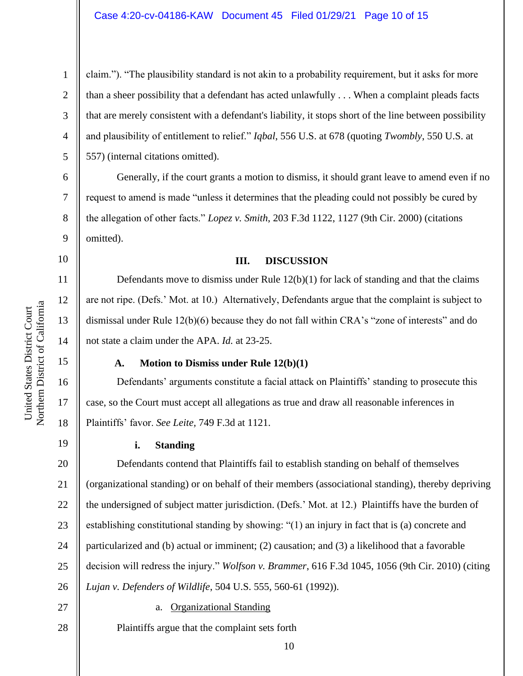claim."). "The plausibility standard is not akin to a probability requirement, but it asks for more than a sheer possibility that a defendant has acted unlawfully . . . When a complaint pleads facts that are merely consistent with a defendant's liability, it stops short of the line between possibility and plausibility of entitlement to relief." *Iqbal*, 556 U.S. at 678 (quoting *Twombly*, 550 U.S. at 557) (internal citations omitted).

Generally, if the court grants a motion to dismiss, it should grant leave to amend even if no request to amend is made "unless it determines that the pleading could not possibly be cured by the allegation of other facts." *Lopez v. Smith*, 203 F.3d 1122, 1127 (9th Cir. 2000) (citations omitted).

10

11

12

13

14

15

16

17

18

19

1

2

3

4

5

6

7

8

9

# **III. DISCUSSION**

Defendants move to dismiss under Rule  $12(b)(1)$  for lack of standing and that the claims are not ripe. (Defs.' Mot. at 10.) Alternatively, Defendants argue that the complaint is subject to dismissal under Rule 12(b)(6) because they do not fall within CRA's "zone of interests" and do not state a claim under the APA. *Id.* at 23-25.

# **A. Motion to Dismiss under Rule 12(b)(1)**

Defendants' arguments constitute a facial attack on Plaintiffs' standing to prosecute this case, so the Court must accept all allegations as true and draw all reasonable inferences in Plaintiffs' favor. *See Leite,* 749 F.3d at 1121.

## **i. Standing**

20 21 22 23 24 25 26 Defendants contend that Plaintiffs fail to establish standing on behalf of themselves (organizational standing) or on behalf of their members (associational standing), thereby depriving the undersigned of subject matter jurisdiction. (Defs.' Mot. at 12.) Plaintiffs have the burden of establishing constitutional standing by showing: "(1) an injury in fact that is (a) concrete and particularized and (b) actual or imminent; (2) causation; and (3) a likelihood that a favorable decision will redress the injury." *Wolfson v. Brammer*, 616 F.3d 1045, 1056 (9th Cir. 2010) (citing *Lujan v. Defenders of Wildlife*, 504 U.S. 555, 560-61 (1992)).

27

28

## a. Organizational Standing

Plaintiffs argue that the complaint sets forth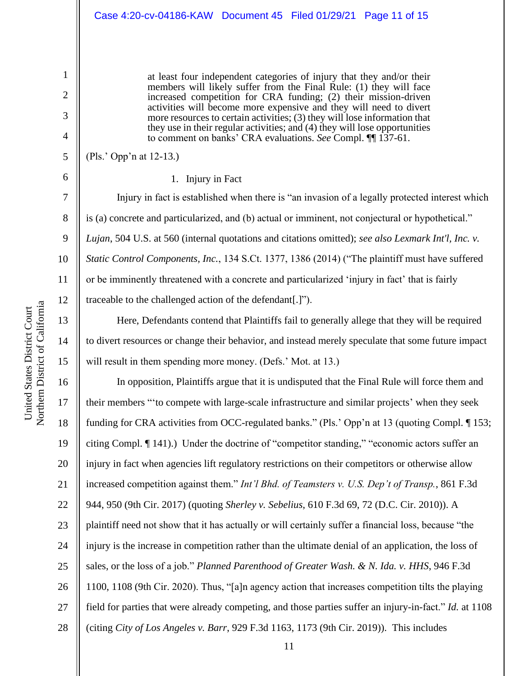at least four independent categories of injury that they and/or their members will likely suffer from the Final Rule: (1) they will face increased competition for CRA funding; (2) their mission-driven activities will become more expensive and they will need to divert more resources to certain activities; (3) they will lose information that they use in their regular activities; and (4) they will lose opportunities to comment on banks' CRA evaluations. *See* Compl. ¶¶ 137-61.

# (Pls.' Opp'n at 12-13.)

1

2

3

4

5

6

7

8

9

10

11

12

13

14

15

1. Injury in Fact

Injury in fact is established when there is "an invasion of a legally protected interest which is (a) concrete and particularized, and (b) actual or imminent, not conjectural or hypothetical." *Lujan*, 504 U.S. at 560 (internal quotations and citations omitted); *see also Lexmark Int'l, Inc. v. Static Control Components, Inc.*, 134 S.Ct. 1377, 1386 (2014) ("The plaintiff must have suffered or be imminently threatened with a concrete and particularized 'injury in fact' that is fairly traceable to the challenged action of the defendant[.]").

Here, Defendants contend that Plaintiffs fail to generally allege that they will be required to divert resources or change their behavior, and instead merely speculate that some future impact will result in them spending more money. (Defs.' Mot. at 13.)

16 17 18 19 20 21 22 23 24 25 26 27 28 In opposition, Plaintiffs argue that it is undisputed that the Final Rule will force them and their members "'to compete with large-scale infrastructure and similar projects' when they seek funding for CRA activities from OCC-regulated banks." (Pls.' Opp'n at 13 (quoting Compl. ¶ 153; citing Compl. ¶ 141).) Under the doctrine of "competitor standing," "economic actors suffer an injury in fact when agencies lift regulatory restrictions on their competitors or otherwise allow increased competition against them." *Int'l Bhd. of Teamsters v. U.S. Dep't of Transp.*, 861 F.3d 944, 950 (9th Cir. 2017) (quoting *Sherley v. Sebelius*, 610 F.3d 69, 72 (D.C. Cir. 2010)). A plaintiff need not show that it has actually or will certainly suffer a financial loss, because "the injury is the increase in competition rather than the ultimate denial of an application, the loss of sales, or the loss of a job." *Planned Parenthood of Greater Wash. & N. Ida. v. HHS*, 946 F.3d 1100, 1108 (9th Cir. 2020). Thus, "[a]n agency action that increases competition tilts the playing field for parties that were already competing, and those parties suffer an injury-in-fact." *Id.* at 1108 (citing *City of Los Angeles v. Barr*, 929 F.3d 1163, 1173 (9th Cir. 2019)). This includes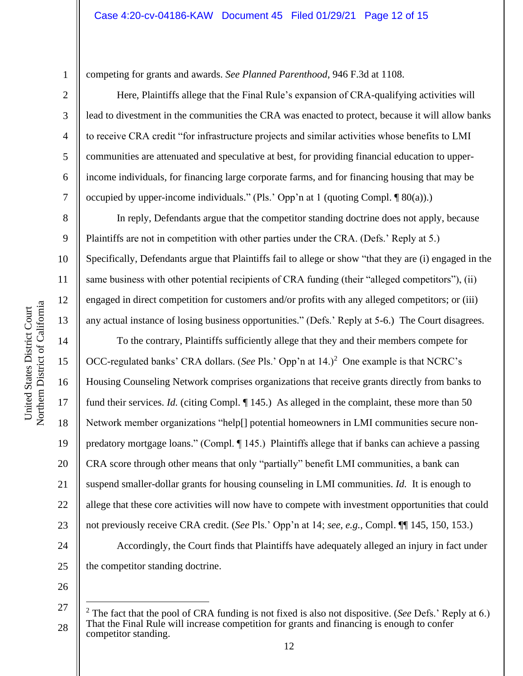competing for grants and awards. *See Planned Parenthood*, 946 F.3d at 1108.

Here, Plaintiffs allege that the Final Rule's expansion of CRA-qualifying activities will lead to divestment in the communities the CRA was enacted to protect, because it will allow banks to receive CRA credit "for infrastructure projects and similar activities whose benefits to LMI communities are attenuated and speculative at best, for providing financial education to upperincome individuals, for financing large corporate farms, and for financing housing that may be occupied by upper-income individuals." (Pls.' Opp'n at 1 (quoting Compl. ¶ 80(a)).)

In reply, Defendants argue that the competitor standing doctrine does not apply, because Plaintiffs are not in competition with other parties under the CRA. (Defs.' Reply at 5.) Specifically, Defendants argue that Plaintiffs fail to allege or show "that they are (i) engaged in the same business with other potential recipients of CRA funding (their "alleged competitors"), (ii) engaged in direct competition for customers and/or profits with any alleged competitors; or (iii) any actual instance of losing business opportunities." (Defs.' Reply at 5-6.) The Court disagrees.

To the contrary, Plaintiffs sufficiently allege that they and their members compete for OCC-regulated banks' CRA dollars. (*See* Pls.' Opp'n at 14.)<sup>2</sup> One example is that NCRC's Housing Counseling Network comprises organizations that receive grants directly from banks to fund their services. *Id.* (citing Compl. ¶ 145.) As alleged in the complaint, these more than 50 Network member organizations "help[] potential homeowners in LMI communities secure nonpredatory mortgage loans." (Compl. ¶ 145.) Plaintiffs allege that if banks can achieve a passing CRA score through other means that only "partially" benefit LMI communities, a bank can suspend smaller-dollar grants for housing counseling in LMI communities. *Id.* It is enough to allege that these core activities will now have to compete with investment opportunities that could not previously receive CRA credit. (*See* Pls.' Opp'n at 14; *see, e.g.,* Compl. ¶¶ 145, 150, 153.) Accordingly, the Court finds that Plaintiffs have adequately alleged an injury in fact under the competitor standing doctrine.

26

1

2

3

4

5

6

7

8

9

10

11

12

13

14

15

16

17

18

19

20

21

22

23

24

<sup>27</sup> 28 <sup>2</sup> The fact that the pool of CRA funding is not fixed is also not dispositive. (*See* Defs.' Reply at 6.) That the Final Rule will increase competition for grants and financing is enough to confer competitor standing.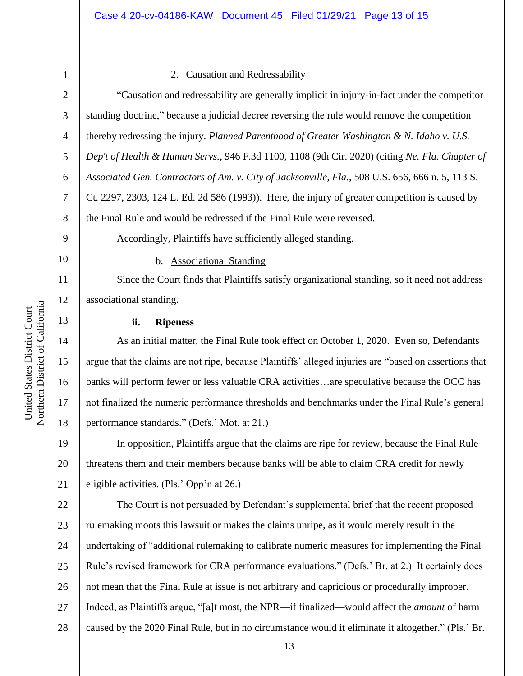1 2

11

12

13

14

15

16

17

18

## 2. Causation and Redressability

3 4 5 6 7 8 9 10 "Causation and redressability are generally implicit in injury-in-fact under the competitor standing doctrine," because a judicial decree reversing the rule would remove the competition thereby redressing the injury. *Planned Parenthood of Greater Washington & N. Idaho v. U.S. Dep't of Health & Human Servs.*, 946 F.3d 1100, 1108 (9th Cir. 2020) (citing *Ne. Fla. Chapter of Associated Gen. Contractors of Am. v. City of Jacksonville, Fla.*, 508 U.S. 656, 666 n. 5, 113 S. Ct. 2297, 2303, 124 L. Ed. 2d 586 (1993)). Here, the injury of greater competition is caused by the Final Rule and would be redressed if the Final Rule were reversed. Accordingly, Plaintiffs have sufficiently alleged standing.

b. Associational Standing

Since the Court finds that Plaintiffs satisfy organizational standing, so it need not address associational standing.

## **ii. Ripeness**

As an initial matter, the Final Rule took effect on October 1, 2020. Even so, Defendants argue that the claims are not ripe, because Plaintiffs' alleged injuries are "based on assertions that banks will perform fewer or less valuable CRA activities…are speculative because the OCC has not finalized the numeric performance thresholds and benchmarks under the Final Rule's general performance standards." (Defs.' Mot. at 21.)

19 20 21 In opposition, Plaintiffs argue that the claims are ripe for review, because the Final Rule threatens them and their members because banks will be able to claim CRA credit for newly eligible activities. (Pls.' Opp'n at 26.)

22 23 24 25 26 27 28 The Court is not persuaded by Defendant's supplemental brief that the recent proposed rulemaking moots this lawsuit or makes the claims unripe, as it would merely result in the undertaking of "additional rulemaking to calibrate numeric measures for implementing the Final Rule's revised framework for CRA performance evaluations." (Defs.' Br. at 2.) It certainly does not mean that the Final Rule at issue is not arbitrary and capricious or procedurally improper. Indeed, as Plaintiffs argue, "[a]t most, the NPR—if finalized—would affect the *amount* of harm caused by the 2020 Final Rule, but in no circumstance would it eliminate it altogether." (Pls.' Br.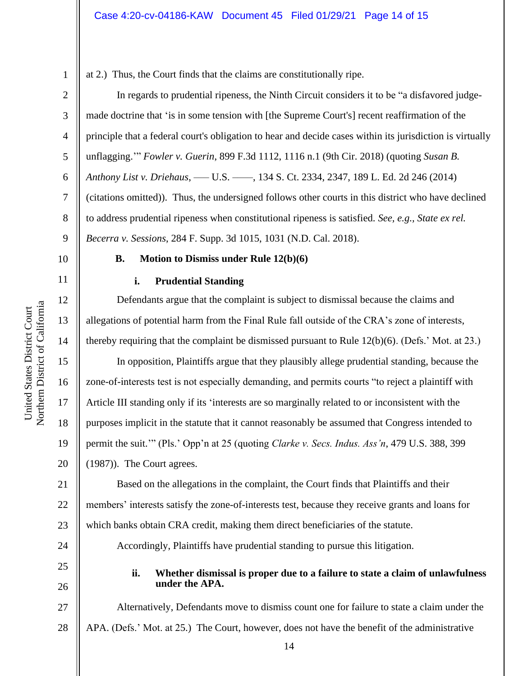at 2.) Thus, the Court finds that the claims are constitutionally ripe.

In regards to prudential ripeness, the Ninth Circuit considers it to be "a disfavored judgemade doctrine that 'is in some tension with [the Supreme Court's] recent reaffirmation of the principle that a federal court's obligation to hear and decide cases within its jurisdiction is virtually unflagging.'" *Fowler v. Guerin*, 899 F.3d 1112, 1116 n.1 (9th Cir. 2018) (quoting *Susan B. Anthony List v. Driehaus*, ––– U.S. ––––, 134 S. Ct. 2334, 2347, 189 L. Ed. 2d 246 (2014) (citations omitted)). Thus, the undersigned follows other courts in this district who have declined to address prudential ripeness when constitutional ripeness is satisfied. *See, e.g., State ex rel. Becerra v. Sessions*, 284 F. Supp. 3d 1015, 1031 (N.D. Cal. 2018).

10

11

12

13

14

15

16

17

18

19

20

24

25

26

1

2

3

4

5

6

7

8

9

# **B. Motion to Dismiss under Rule 12(b)(6)**

# **i. Prudential Standing**

Defendants argue that the complaint is subject to dismissal because the claims and allegations of potential harm from the Final Rule fall outside of the CRA's zone of interests, thereby requiring that the complaint be dismissed pursuant to Rule 12(b)(6). (Defs.' Mot. at 23.)

In opposition, Plaintiffs argue that they plausibly allege prudential standing, because the zone-of-interests test is not especially demanding, and permits courts "to reject a plaintiff with Article III standing only if its 'interests are so marginally related to or inconsistent with the purposes implicit in the statute that it cannot reasonably be assumed that Congress intended to permit the suit.'" (Pls.' Opp'n at 25 (quoting *Clarke v. Secs. Indus. Ass'n*, 479 U.S. 388, 399 (1987)). The Court agrees.

21 22 23 Based on the allegations in the complaint, the Court finds that Plaintiffs and their members' interests satisfy the zone-of-interests test, because they receive grants and loans for which banks obtain CRA credit, making them direct beneficiaries of the statute.

Accordingly, Plaintiffs have prudential standing to pursue this litigation.

# **ii. Whether dismissal is proper due to a failure to state a claim of unlawfulness under the APA.**

27 28 Alternatively, Defendants move to dismiss count one for failure to state a claim under the APA. (Defs.' Mot. at 25.) The Court, however, does not have the benefit of the administrative